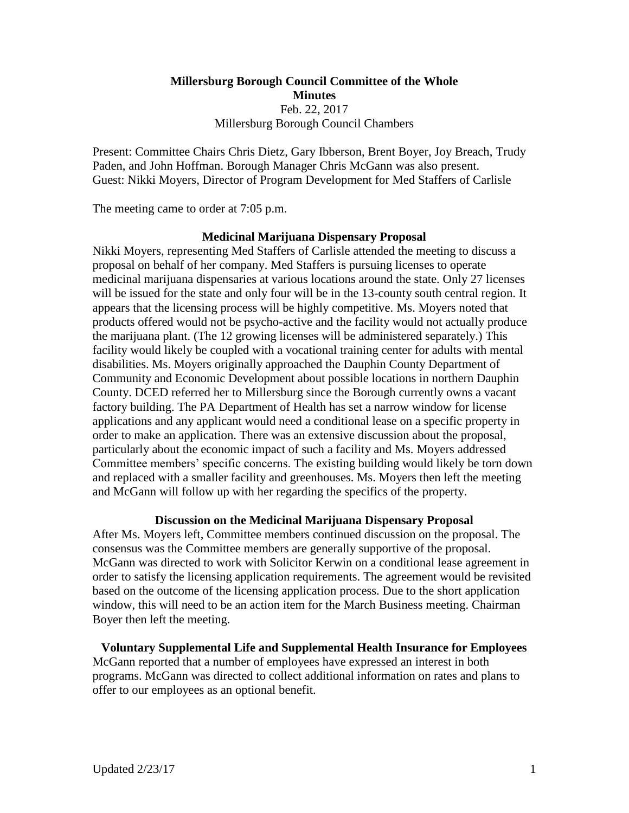# **Millersburg Borough Council Committee of the Whole Minutes** Feb. 22, 2017 Millersburg Borough Council Chambers

Present: Committee Chairs Chris Dietz, Gary Ibberson, Brent Boyer, Joy Breach, Trudy Paden, and John Hoffman. Borough Manager Chris McGann was also present. Guest: Nikki Moyers, Director of Program Development for Med Staffers of Carlisle

The meeting came to order at 7:05 p.m.

## **Medicinal Marijuana Dispensary Proposal**

Nikki Moyers, representing Med Staffers of Carlisle attended the meeting to discuss a proposal on behalf of her company. Med Staffers is pursuing licenses to operate medicinal marijuana dispensaries at various locations around the state. Only 27 licenses will be issued for the state and only four will be in the 13-county south central region. It appears that the licensing process will be highly competitive. Ms. Moyers noted that products offered would not be psycho-active and the facility would not actually produce the marijuana plant. (The 12 growing licenses will be administered separately.) This facility would likely be coupled with a vocational training center for adults with mental disabilities. Ms. Moyers originally approached the Dauphin County Department of Community and Economic Development about possible locations in northern Dauphin County. DCED referred her to Millersburg since the Borough currently owns a vacant factory building. The PA Department of Health has set a narrow window for license applications and any applicant would need a conditional lease on a specific property in order to make an application. There was an extensive discussion about the proposal, particularly about the economic impact of such a facility and Ms. Moyers addressed Committee members' specific concerns. The existing building would likely be torn down and replaced with a smaller facility and greenhouses. Ms. Moyers then left the meeting and McGann will follow up with her regarding the specifics of the property.

# **Discussion on the Medicinal Marijuana Dispensary Proposal**

After Ms. Moyers left, Committee members continued discussion on the proposal. The consensus was the Committee members are generally supportive of the proposal. McGann was directed to work with Solicitor Kerwin on a conditional lease agreement in order to satisfy the licensing application requirements. The agreement would be revisited based on the outcome of the licensing application process. Due to the short application window, this will need to be an action item for the March Business meeting. Chairman Boyer then left the meeting.

**Voluntary Supplemental Life and Supplemental Health Insurance for Employees** McGann reported that a number of employees have expressed an interest in both programs. McGann was directed to collect additional information on rates and plans to offer to our employees as an optional benefit.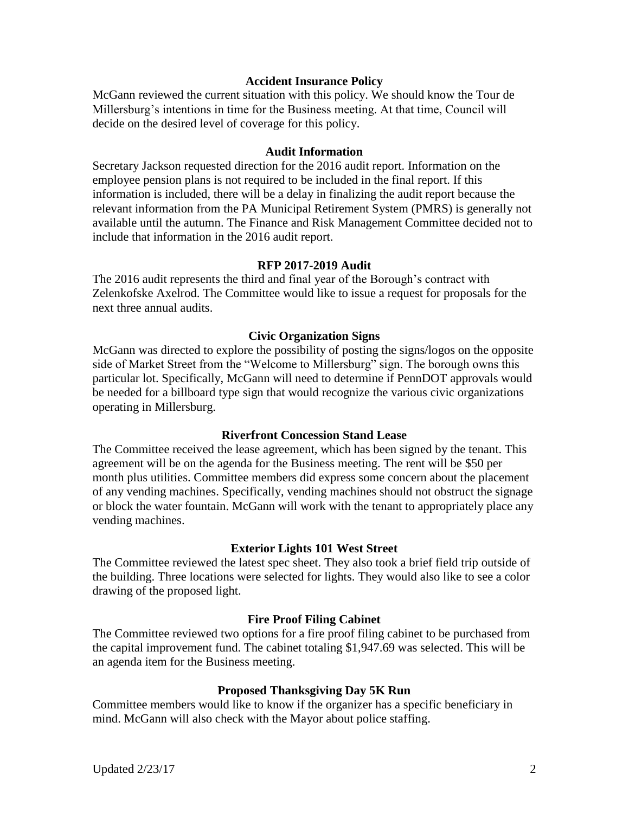## **Accident Insurance Policy**

McGann reviewed the current situation with this policy. We should know the Tour de Millersburg's intentions in time for the Business meeting. At that time, Council will decide on the desired level of coverage for this policy.

#### **Audit Information**

Secretary Jackson requested direction for the 2016 audit report. Information on the employee pension plans is not required to be included in the final report. If this information is included, there will be a delay in finalizing the audit report because the relevant information from the PA Municipal Retirement System (PMRS) is generally not available until the autumn. The Finance and Risk Management Committee decided not to include that information in the 2016 audit report.

# **RFP 2017-2019 Audit**

The 2016 audit represents the third and final year of the Borough's contract with Zelenkofske Axelrod. The Committee would like to issue a request for proposals for the next three annual audits.

#### **Civic Organization Signs**

McGann was directed to explore the possibility of posting the signs/logos on the opposite side of Market Street from the "Welcome to Millersburg" sign. The borough owns this particular lot. Specifically, McGann will need to determine if PennDOT approvals would be needed for a billboard type sign that would recognize the various civic organizations operating in Millersburg.

### **Riverfront Concession Stand Lease**

The Committee received the lease agreement, which has been signed by the tenant. This agreement will be on the agenda for the Business meeting. The rent will be \$50 per month plus utilities. Committee members did express some concern about the placement of any vending machines. Specifically, vending machines should not obstruct the signage or block the water fountain. McGann will work with the tenant to appropriately place any vending machines.

#### **Exterior Lights 101 West Street**

The Committee reviewed the latest spec sheet. They also took a brief field trip outside of the building. Three locations were selected for lights. They would also like to see a color drawing of the proposed light.

#### **Fire Proof Filing Cabinet**

The Committee reviewed two options for a fire proof filing cabinet to be purchased from the capital improvement fund. The cabinet totaling \$1,947.69 was selected. This will be an agenda item for the Business meeting.

#### **Proposed Thanksgiving Day 5K Run**

Committee members would like to know if the organizer has a specific beneficiary in mind. McGann will also check with the Mayor about police staffing.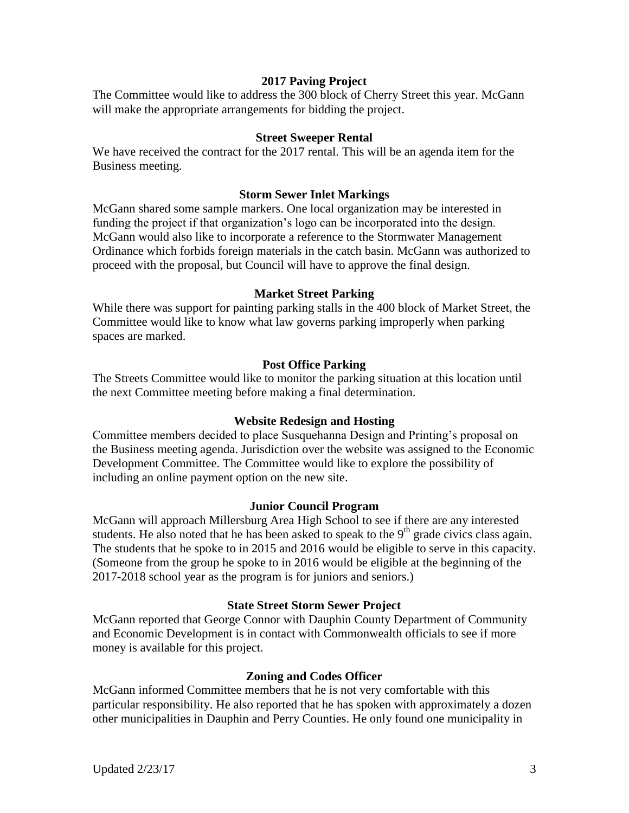## **2017 Paving Project**

The Committee would like to address the 300 block of Cherry Street this year. McGann will make the appropriate arrangements for bidding the project.

#### **Street Sweeper Rental**

We have received the contract for the 2017 rental. This will be an agenda item for the Business meeting.

## **Storm Sewer Inlet Markings**

McGann shared some sample markers. One local organization may be interested in funding the project if that organization's logo can be incorporated into the design. McGann would also like to incorporate a reference to the Stormwater Management Ordinance which forbids foreign materials in the catch basin. McGann was authorized to proceed with the proposal, but Council will have to approve the final design.

## **Market Street Parking**

While there was support for painting parking stalls in the 400 block of Market Street, the Committee would like to know what law governs parking improperly when parking spaces are marked.

## **Post Office Parking**

The Streets Committee would like to monitor the parking situation at this location until the next Committee meeting before making a final determination.

#### **Website Redesign and Hosting**

Committee members decided to place Susquehanna Design and Printing's proposal on the Business meeting agenda. Jurisdiction over the website was assigned to the Economic Development Committee. The Committee would like to explore the possibility of including an online payment option on the new site.

#### **Junior Council Program**

McGann will approach Millersburg Area High School to see if there are any interested students. He also noted that he has been asked to speak to the  $9<sup>th</sup>$  grade civics class again. The students that he spoke to in 2015 and 2016 would be eligible to serve in this capacity. (Someone from the group he spoke to in 2016 would be eligible at the beginning of the 2017-2018 school year as the program is for juniors and seniors.)

#### **State Street Storm Sewer Project**

McGann reported that George Connor with Dauphin County Department of Community and Economic Development is in contact with Commonwealth officials to see if more money is available for this project.

# **Zoning and Codes Officer**

McGann informed Committee members that he is not very comfortable with this particular responsibility. He also reported that he has spoken with approximately a dozen other municipalities in Dauphin and Perry Counties. He only found one municipality in